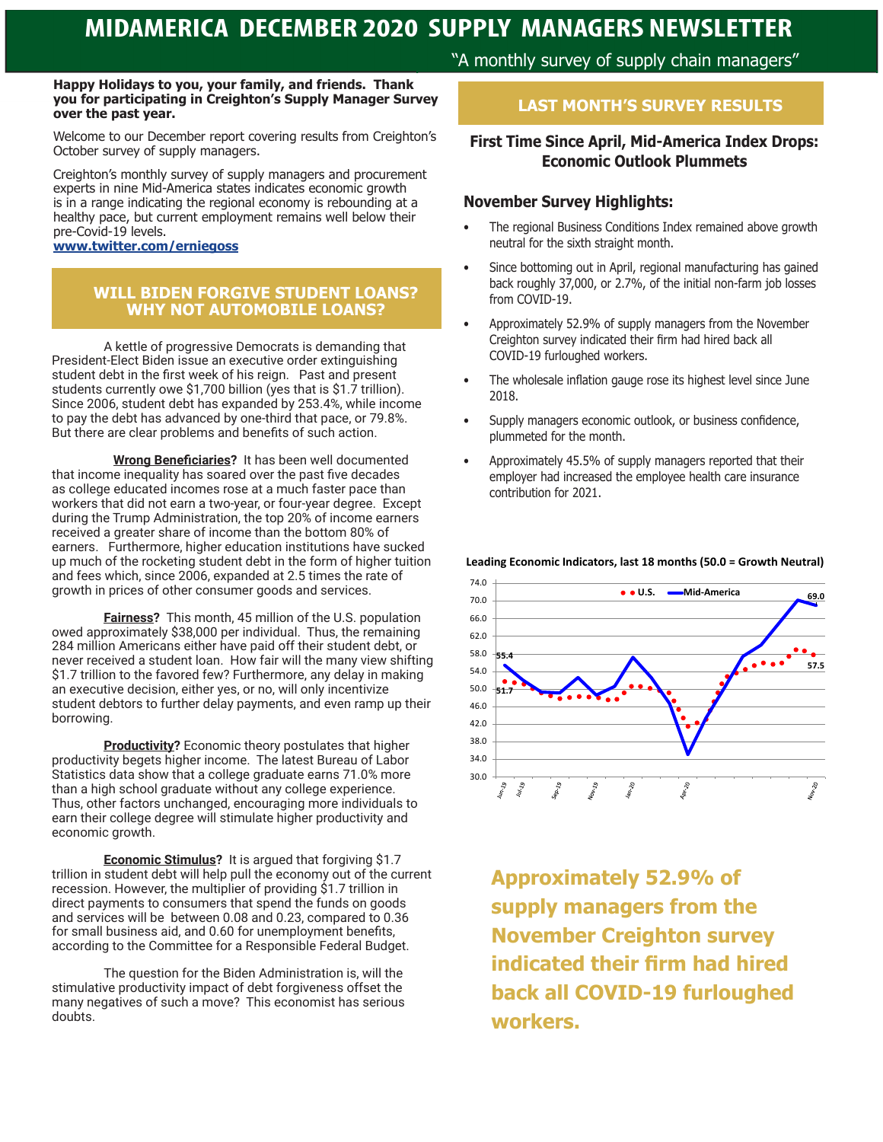#### **Happy Holidays to you, your family, and friends. Thank you for participating in Creighton's Supply Manager Survey over the past year.**

Welcome to our December report covering results from Creighton's October survey of supply managers.

Creighton's monthly survey of supply managers and procurement experts in nine Mid-America states indicates economic growth is in a range indicating the regional economy is rebounding at a healthy pace, but current employment remains well below their pre-Covid-19 levels.

### **www.twitter.com/erniegoss**

### **WILL BIDEN FORGIVE STUDENT LOANS? WHY NOT AUTOMOBILE LOANS?**

A kettle of progressive Democrats is demanding that President-Elect Biden issue an executive order extinguishing student debt in the first week of his reign. Past and present students currently owe \$1,700 billion (yes that is \$1.7 trillion). Since 2006, student debt has expanded by 253.4%, while income to pay the debt has advanced by one-third that pace, or 79.8%. But there are clear problems and benefits of such action.

 **Wrong Beneficiaries?** It has been well documented that income inequality has soared over the past five decades as college educated incomes rose at a much faster pace than workers that did not earn a two-year, or four-year degree. Except during the Trump Administration, the top 20% of income earners received a greater share of income than the bottom 80% of earners. Furthermore, higher education institutions have sucked up much of the rocketing student debt in the form of higher tuition and fees which, since 2006, expanded at 2.5 times the rate of growth in prices of other consumer goods and services.

**Fairness?** This month, 45 million of the U.S. population owed approximately \$38,000 per individual. Thus, the remaining 284 million Americans either have paid off their student debt, or never received a student loan. How fair will the many view shifting \$1.7 trillion to the favored few? Furthermore, any delay in making an executive decision, either yes, or no, will only incentivize student debtors to further delay payments, and even ramp up their borrowing.

**Productivity?** Economic theory postulates that higher productivity begets higher income. The latest Bureau of Labor Statistics data show that a college graduate earns 71.0% more than a high school graduate without any college experience. Thus, other factors unchanged, encouraging more individuals to earn their college degree will stimulate higher productivity and economic growth.

**Economic Stimulus?** It is argued that forgiving \$1.7 trillion in student debt will help pull the economy out of the current recession. However, the multiplier of providing \$1.7 trillion in direct payments to consumers that spend the funds on goods and services will be between 0.08 and 0.23, compared to 0.36 for small business aid, and 0.60 for unemployment benefits, according to the Committee for a Responsible Federal Budget.

The question for the Biden Administration is, will the stimulative productivity impact of debt forgiveness offset the many negatives of such a move? This economist has serious doubts.

"A monthly survey of supply chain managers"

### **LAST MONTH'S SURVEY RESULTS**

## **First Time Since April, Mid-America Index Drops: Economic Outlook Plummets**

### **November Survey Highlights:**

- The regional Business Conditions Index remained above growth neutral for the sixth straight month.
- Since bottoming out in April, regional manufacturing has gained back roughly 37,000, or 2.7%, of the initial non-farm job losses from COVID-19.
- Approximately 52.9% of supply managers from the November Creighton survey indicated their firm had hired back all COVID-19 furloughed workers.
- The wholesale inflation gauge rose its highest level since June 2018.
- Supply managers economic outlook, or business confidence, plummeted for the month.
- Approximately 45.5% of supply managers reported that their employer had increased the employee health care insurance contribution for 2021.



**Leading Economic Indicators, last 18 months (50.0 = Growth Neutral)**

**Approximately 52.9% of supply managers from the November Creighton survey indicated their firm had hired back all COVID-19 furloughed workers.**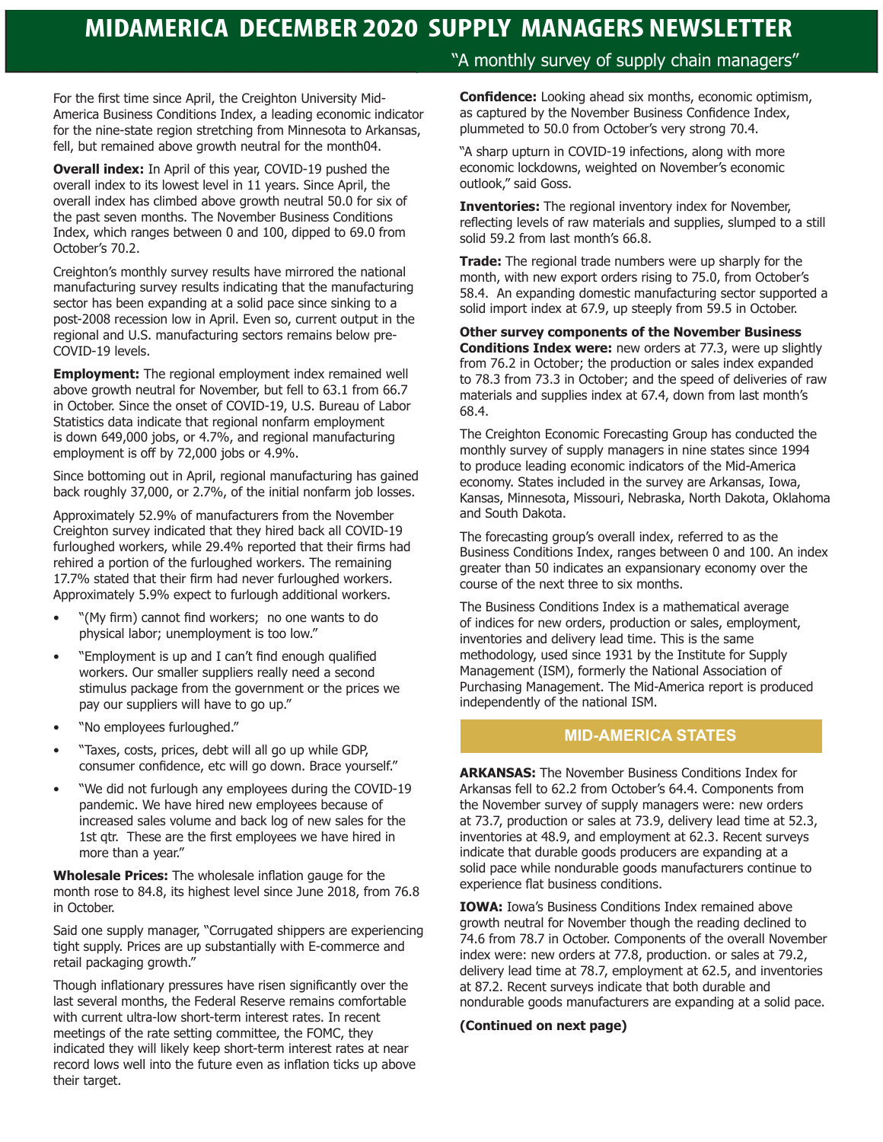For the first time since April, the Creighton University Mid-America Business Conditions Index, a leading economic indicator for the nine-state region stretching from Minnesota to Arkansas, fell, but remained above growth neutral for the month04.

**Overall index:** In April of this year, COVID-19 pushed the overall index to its lowest level in 11 years. Since April, the overall index has climbed above growth neutral 50.0 for six of the past seven months. The November Business Conditions Index, which ranges between 0 and 100, dipped to 69.0 from October's 70.2.

Creighton's monthly survey results have mirrored the national manufacturing survey results indicating that the manufacturing sector has been expanding at a solid pace since sinking to a post-2008 recession low in April. Even so, current output in the regional and U.S. manufacturing sectors remains below pre-COVID-19 levels.

**Employment:** The regional employment index remained well above growth neutral for November, but fell to 63.1 from 66.7 in October. Since the onset of COVID-19, U.S. Bureau of Labor Statistics data indicate that regional nonfarm employment is down 649,000 jobs, or 4.7%, and regional manufacturing employment is off by 72,000 jobs or 4.9%.

Since bottoming out in April, regional manufacturing has gained back roughly 37,000, or 2.7%, of the initial nonfarm job losses.

Approximately 52.9% of manufacturers from the November Creighton survey indicated that they hired back all COVID-19 furloughed workers, while 29.4% reported that their firms had rehired a portion of the furloughed workers. The remaining 17.7% stated that their firm had never furloughed workers. Approximately 5.9% expect to furlough additional workers.

- "(My firm) cannot find workers; no one wants to do physical labor; unemployment is too low."
- "Employment is up and I can't find enough qualified workers. Our smaller suppliers really need a second stimulus package from the government or the prices we pay our suppliers will have to go up."
- "No employees furloughed."
- "Taxes, costs, prices, debt will all go up while GDP, consumer confidence, etc will go down. Brace yourself."
- "We did not furlough any employees during the COVID-19 pandemic. We have hired new employees because of increased sales volume and back log of new sales for the 1st qtr. These are the first employees we have hired in more than a year."

**Wholesale Prices:** The wholesale inflation gauge for the month rose to 84.8, its highest level since June 2018, from 76.8 in October.

Said one supply manager, "Corrugated shippers are experiencing tight supply. Prices are up substantially with E-commerce and retail packaging growth."

Though inflationary pressures have risen significantly over the last several months, the Federal Reserve remains comfortable with current ultra-low short-term interest rates. In recent meetings of the rate setting committee, the FOMC, they indicated they will likely keep short-term interest rates at near record lows well into the future even as inflation ticks up above their target.

### "A monthly survey of supply chain managers"

**Confidence:** Looking ahead six months, economic optimism, as captured by the November Business Confidence Index, plummeted to 50.0 from October's very strong 70.4.

"A sharp upturn in COVID-19 infections, along with more economic lockdowns, weighted on November's economic outlook," said Goss.

**Inventories:** The regional inventory index for November, reflecting levels of raw materials and supplies, slumped to a still solid 59.2 from last month's 66.8.

**Trade:** The regional trade numbers were up sharply for the month, with new export orders rising to 75.0, from October's 58.4. An expanding domestic manufacturing sector supported a solid import index at 67.9, up steeply from 59.5 in October.

**Other survey components of the November Business Conditions Index were:** new orders at 77.3, were up slightly from 76.2 in October; the production or sales index expanded to 78.3 from 73.3 in October; and the speed of deliveries of raw materials and supplies index at 67.4, down from last month's 68.4.

The Creighton Economic Forecasting Group has conducted the monthly survey of supply managers in nine states since 1994 to produce leading economic indicators of the Mid-America economy. States included in the survey are Arkansas, Iowa, Kansas, Minnesota, Missouri, Nebraska, North Dakota, Oklahoma and South Dakota.

The forecasting group's overall index, referred to as the Business Conditions Index, ranges between 0 and 100. An index greater than 50 indicates an expansionary economy over the course of the next three to six months.

The Business Conditions Index is a mathematical average of indices for new orders, production or sales, employment, inventories and delivery lead time. This is the same methodology, used since 1931 by the Institute for Supply Management (ISM), formerly the National Association of Purchasing Management. The Mid-America report is produced independently of the national ISM.

### **MID-AMERICA STATES**

**ARKANSAS:** The November Business Conditions Index for Arkansas fell to 62.2 from October's 64.4. Components from the November survey of supply managers were: new orders at 73.7, production or sales at 73.9, delivery lead time at 52.3, inventories at 48.9, and employment at 62.3. Recent surveys indicate that durable goods producers are expanding at a solid pace while nondurable goods manufacturers continue to experience flat business conditions.

**IOWA:** Iowa's Business Conditions Index remained above growth neutral for November though the reading declined to 74.6 from 78.7 in October. Components of the overall November index were: new orders at 77.8, production. or sales at 79.2, delivery lead time at 78.7, employment at 62.5, and inventories at 87.2. Recent surveys indicate that both durable and nondurable goods manufacturers are expanding at a solid pace.

### **(Continued on next page)**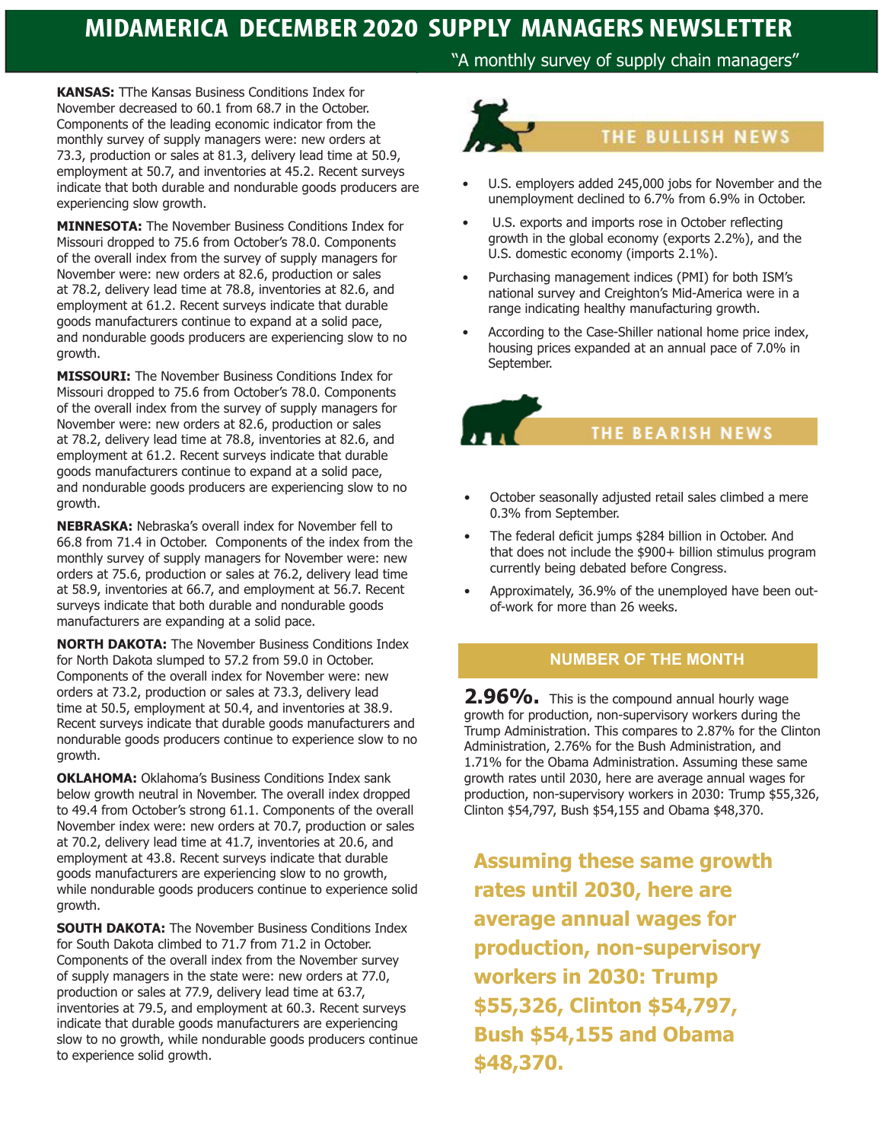"A monthly survey of supply chain managers"

**KANSAS:** TThe Kansas Business Conditions Index for November decreased to 60.1 from 68.7 in the October. Components of the leading economic indicator from the monthly survey of supply managers were: new orders at 73.3, production or sales at 81.3, delivery lead time at 50.9, employment at 50.7, and inventories at 45.2. Recent surveys indicate that both durable and nondurable goods producers are experiencing slow growth.

**MINNESOTA:** The November Business Conditions Index for Missouri dropped to 75.6 from October's 78.0. Components of the overall index from the survey of supply managers for November were: new orders at 82.6, production or sales at 78.2, delivery lead time at 78.8, inventories at 82.6, and employment at 61.2. Recent surveys indicate that durable goods manufacturers continue to expand at a solid pace, and nondurable goods producers are experiencing slow to no growth.

**MISSOURI:** The November Business Conditions Index for Missouri dropped to 75.6 from October's 78.0. Components of the overall index from the survey of supply managers for November were: new orders at 82.6, production or sales at 78.2, delivery lead time at 78.8, inventories at 82.6, and employment at 61.2. Recent surveys indicate that durable goods manufacturers continue to expand at a solid pace, and nondurable goods producers are experiencing slow to no growth.

**NEBRASKA:** Nebraska's overall index for November fell to 66.8 from 71.4 in October. Components of the index from the monthly survey of supply managers for November were: new orders at 75.6, production or sales at 76.2, delivery lead time at 58.9, inventories at 66.7, and employment at 56.7. Recent surveys indicate that both durable and nondurable goods manufacturers are expanding at a solid pace.

**NORTH DAKOTA:** The November Business Conditions Index for North Dakota slumped to 57.2 from 59.0 in October. Components of the overall index for November were: new orders at 73.2, production or sales at 73.3, delivery lead time at 50.5, employment at 50.4, and inventories at 38.9. Recent surveys indicate that durable goods manufacturers and nondurable goods producers continue to experience slow to no growth.

**OKLAHOMA:** Oklahoma's Business Conditions Index sank below growth neutral in November. The overall index dropped to 49.4 from October's strong 61.1. Components of the overall November index were: new orders at 70.7, production or sales at 70.2, delivery lead time at 41.7, inventories at 20.6, and employment at 43.8. Recent surveys indicate that durable goods manufacturers are experiencing slow to no growth, while nondurable goods producers continue to experience solid growth.

**SOUTH DAKOTA:** The November Business Conditions Index for South Dakota climbed to 71.7 from 71.2 in October. Components of the overall index from the November survey of supply managers in the state were: new orders at 77.0, production or sales at 77.9, delivery lead time at 63.7, inventories at 79.5, and employment at 60.3. Recent surveys indicate that durable goods manufacturers are experiencing slow to no growth, while nondurable goods producers continue to experience solid growth.



- U.S. employers added 245,000 jobs for November and the unemployment declined to 6.7% from 6.9% in October.
- U.S. exports and imports rose in October reflecting growth in the global economy (exports 2.2%), and the U.S. domestic economy (imports 2.1%).
- Purchasing management indices (PMI) for both ISM's national survey and Creighton's Mid-America were in a range indicating healthy manufacturing growth.
- According to the Case-Shiller national home price index, housing prices expanded at an annual pace of 7.0% in September.

**THE BEARISH NEWS** 

- October seasonally adjusted retail sales climbed a mere 0.3% from September.
- The federal deficit jumps \$284 billion in October. And that does not include the \$900+ billion stimulus program currently being debated before Congress.
- Approximately, 36.9% of the unemployed have been outof-work for more than 26 weeks.

## **NUMBER OF THE MONTH**

**2.96%.** This is the compound annual hourly wage growth for production, non-supervisory workers during the Trump Administration. This compares to 2.87% for the Clinton Administration, 2.76% for the Bush Administration, and 1.71% for the Obama Administration. Assuming these same growth rates until 2030, here are average annual wages for production, non-supervisory workers in 2030: Trump \$55,326, Clinton \$54,797, Bush \$54,155 and Obama \$48,370.

**Assuming these same growth rates until 2030, here are average annual wages for production, non-supervisory workers in 2030: Trump \$55,326, Clinton \$54,797, Bush \$54,155 and Obama \$48,370.**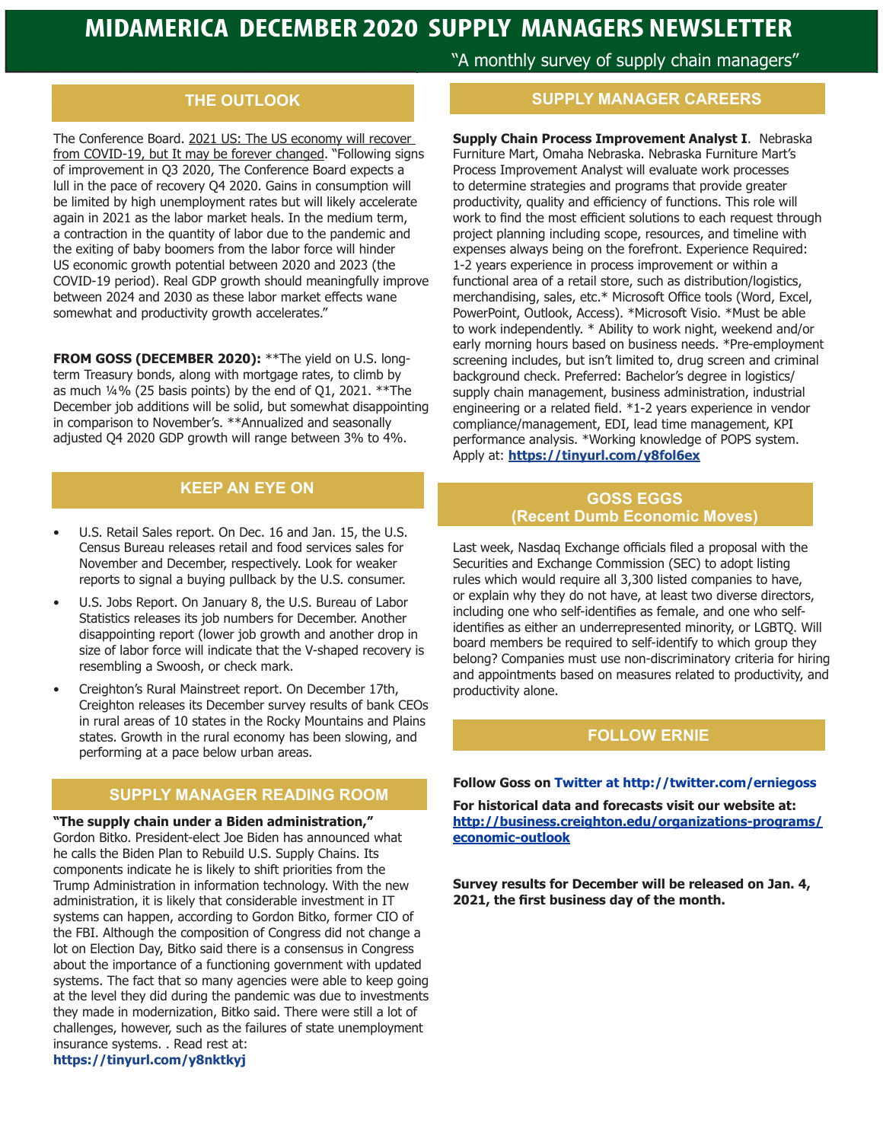## **THE OUTLOOK**

The Conference Board. 2021 US: The US economy will recover from COVID-19, but It may be forever changed. "Following signs of improvement in Q3 2020, The Conference Board expects a lull in the pace of recovery Q4 2020. Gains in consumption will be limited by high unemployment rates but will likely accelerate again in 2021 as the labor market heals. In the medium term, a contraction in the quantity of labor due to the pandemic and the exiting of baby boomers from the labor force will hinder US economic growth potential between 2020 and 2023 (the COVID-19 period). Real GDP growth should meaningfully improve between 2024 and 2030 as these labor market effects wane somewhat and productivity growth accelerates."

**FROM GOSS (DECEMBER 2020):** \*\*The yield on U.S. longterm Treasury bonds, along with mortgage rates, to climb by as much ¼% (25 basis points) by the end of Q1, 2021. \*\*The December job additions will be solid, but somewhat disappointing in comparison to November's. \*\*Annualized and seasonally adjusted Q4 2020 GDP growth will range between 3% to 4%.

## **KEEP AN EYE ON**

- U.S. Retail Sales report. On Dec. 16 and Jan. 15, the U.S. Census Bureau releases retail and food services sales for November and December, respectively. Look for weaker reports to signal a buying pullback by the U.S. consumer.
- U.S. Jobs Report. On January 8, the U.S. Bureau of Labor Statistics releases its job numbers for December. Another disappointing report (lower job growth and another drop in size of labor force will indicate that the V-shaped recovery is resembling a Swoosh, or check mark.
- Creighton's Rural Mainstreet report. On December 17th, Creighton releases its December survey results of bank CEOs in rural areas of 10 states in the Rocky Mountains and Plains states. Growth in the rural economy has been slowing, and performing at a pace below urban areas.

### **SUPPLY MANAGER READING ROOM**

**"The supply chain under a Biden administration,"**  Gordon Bitko. President-elect Joe Biden has announced what he calls the Biden Plan to Rebuild U.S. Supply Chains. Its components indicate he is likely to shift priorities from the Trump Administration in information technology. With the new administration, it is likely that considerable investment in IT systems can happen, according to Gordon Bitko, former CIO of the FBI. Although the composition of Congress did not change a lot on Election Day, Bitko said there is a consensus in Congress about the importance of a functioning government with updated systems. The fact that so many agencies were able to keep going at the level they did during the pandemic was due to investments they made in modernization, Bitko said. There were still a lot of challenges, however, such as the failures of state unemployment insurance systems. . Read rest at: **https://tinyurl.com/y8nktkyj**

"A monthly survey of supply chain managers"

### **SUPPLY MANAGER CAREERS**

**Supply Chain Process Improvement Analyst I**. Nebraska Furniture Mart, Omaha Nebraska. Nebraska Furniture Mart's Process Improvement Analyst will evaluate work processes to determine strategies and programs that provide greater productivity, quality and efficiency of functions. This role will work to find the most efficient solutions to each request through project planning including scope, resources, and timeline with expenses always being on the forefront. Experience Required: 1-2 years experience in process improvement or within a functional area of a retail store, such as distribution/logistics, merchandising, sales, etc.\* Microsoft Office tools (Word, Excel, PowerPoint, Outlook, Access). \*Microsoft Visio. \*Must be able to work independently. \* Ability to work night, weekend and/or early morning hours based on business needs. \*Pre-employment screening includes, but isn't limited to, drug screen and criminal background check. Preferred: Bachelor's degree in logistics/ supply chain management, business administration, industrial engineering or a related field. \*1-2 years experience in vendor compliance/management, EDI, lead time management, KPI performance analysis. \*Working knowledge of POPS system. Apply at: **https://tinyurl.com/y8fol6ex**

### **GOSS EGGS (Recent Dumb Economic Moves)**

Last week, Nasdaq Exchange officials filed a proposal with the Securities and Exchange Commission (SEC) to adopt listing rules which would require all 3,300 listed companies to have, or explain why they do not have, at least two diverse directors, including one who self-identifies as female, and one who selfidentifies as either an underrepresented minority, or LGBTQ. Will board members be required to self-identify to which group they belong? Companies must use non-discriminatory criteria for hiring and appointments based on measures related to productivity, and productivity alone.

## **FOLLOW ERNIE**

### **Follow Goss on Twitter at http://twitter.com/erniegoss**

**For historical data and forecasts visit our website at: http://business.creighton.edu/organizations-programs/ economic-outlook**

**Survey results for December will be released on Jan. 4, 2021, the first business day of the month.**